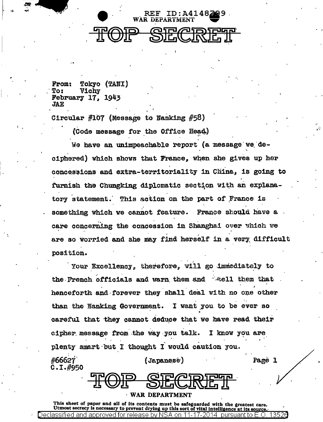

 $From:$ Tokyo (TANI) **Vichy**  $T<sub>0</sub>$ : **February 17, 1943 JAE** 

Circular #107 (Message to Nanking #58)

(Code message for the Office Head.)

We have an unimpeachable report (a message we deciphered) which shows that France. when she gives up her concessions and extra-territoriality in China. is going to furnish the Chungking diplomatic section with an explanatory statement. This action on the part of France is something which we cannot feature. France should have a care concerning the concession in Shanghai over which we are so worried and she may find herself in a very difficult position.

Your Excellency, therefore, will go immediately to the French officials and warn them and well them that henceforth and forever they shall deal with no one other than the Nanking Government. I want you to be ever so careful that they cannot deduce that we have read their cipher message from the way you talk. I know you are plenty smart but I thought I would caution you. #66627 (Japanese) Page 1  $C.1.$ #950

**WAR DEPARTMENT** 

This sheet of paper and all of its contents must be safeguarded with the greatest care. Utmost secrecy is necessary to prevent drying up this sort of vital intelligence at its source. 13526 )eclassified and